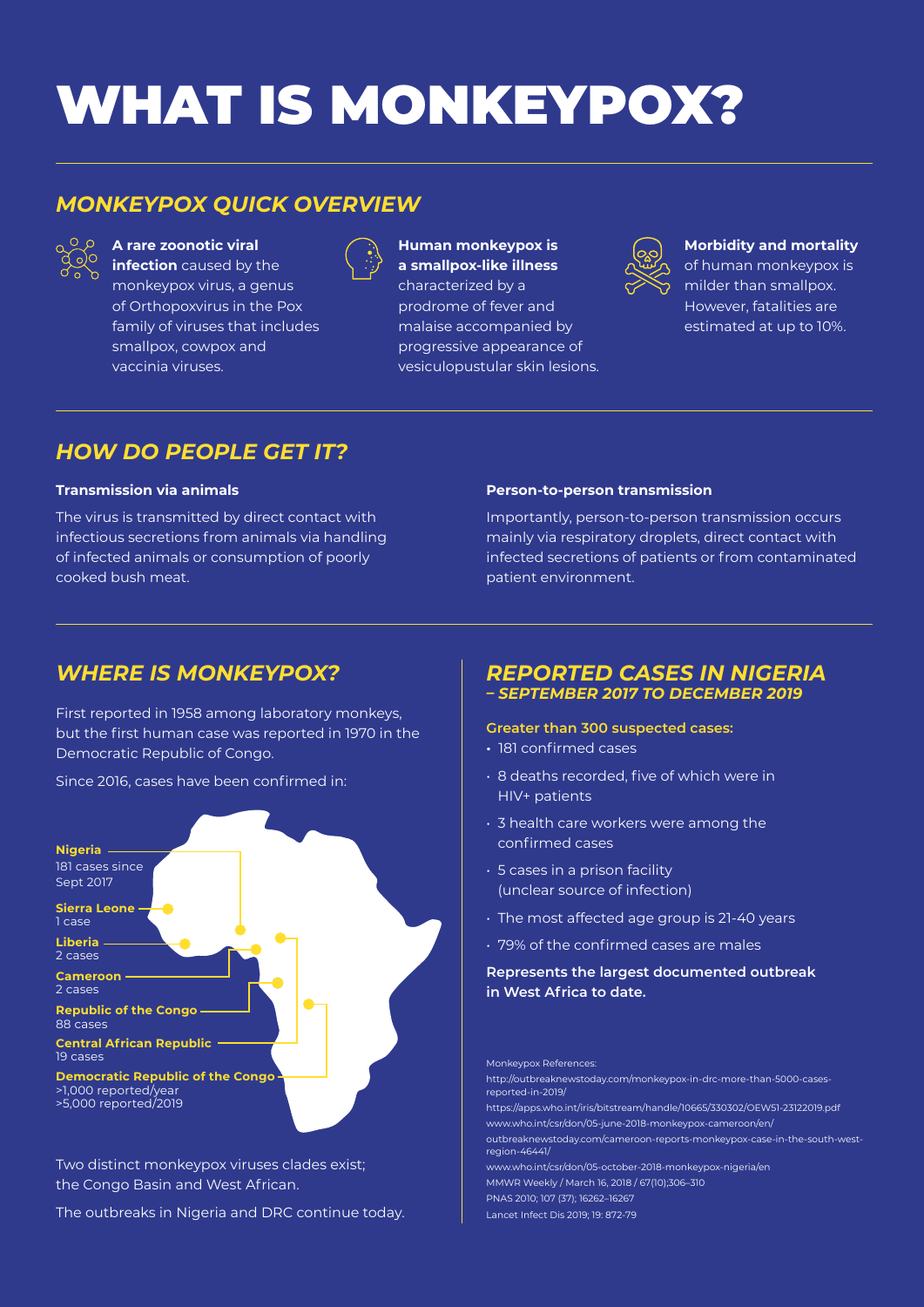# WHAT IS MONKEYPOX?

## *MONKEYPOX QUICK OVERVIEW*



**A rare zoonotic viral** 

**infection** caused by the monkeypox virus, a genus of Orthopoxvirus in the Pox family of viruses that includes smallpox, cowpox and vaccinia viruses.

|--|

**Human monkeypox is a smallpox-like illness**  characterized by a prodrome of fever and malaise accompanied by progressive appearance of vesiculopustular skin lesions.



**Morbidity and mortality** 

of human monkeypox is milder than smallpox. However, fatalities are estimated at up to 10%.

## *HOW DO PEOPLE GET IT?*

#### **Transmission via animals**

The virus is transmitted by direct contact with infectious secretions from animals via handling of infected animals or consumption of poorly cooked bush meat.

#### **Person-to-person transmission**

Importantly, person-to-person transmission occurs mainly via respiratory droplets, direct contact with infected secretions of patients or from contaminated patient environment.

## *WHERE IS MONKEYPOX?*

First reported in 1958 among laboratory monkeys, but the first human case was reported in 1970 in the Democratic Republic of Congo.

Since 2016, cases have been confirmed in:



Two distinct monkeypox viruses clades exist; the Congo Basin and West African.

The outbreaks in Nigeria and DRC continue today.

## *REPORTED CASES IN NIGERIA*

*– SEPTEMBER 2017 TO DECEMBER 2019*

#### **Greater than 300 suspected cases:**

- 181 confirmed cases
- 8 deaths recorded, five of which were in HIV+ patients
- 3 health care workers were among the confirmed cases
- 5 cases in a prison facility (unclear source of infection)
- The most affected age group is 21-40 years
- 79% of the confirmed cases are males

#### **Represents the largest documented outbreak in West Africa to date.**

Monkeypox References: http://outbreaknewstoday.com/monkeypox-in-drc-more-than-5000-casesreported-in-2019/ https://apps.who.int/iris/bitstream/handle/10665/330302/OEW51-23122019.pdf www.who.int/csr/don/05-june-2018-monkeypox-cameroon/en/ outbreaknewstoday.com/cameroon-reports-monkeypox-case-in-the-south-westregion-46441/ www.who.int/csr/don/05-october-2018-monkeypox-nigeria/en MMWR Weekly / March 16, 2018 / 67(10);306–310 PNAS 2010; 107 (37); 16262–16267

Lancet Infect Dis 2019; 19: 872-79